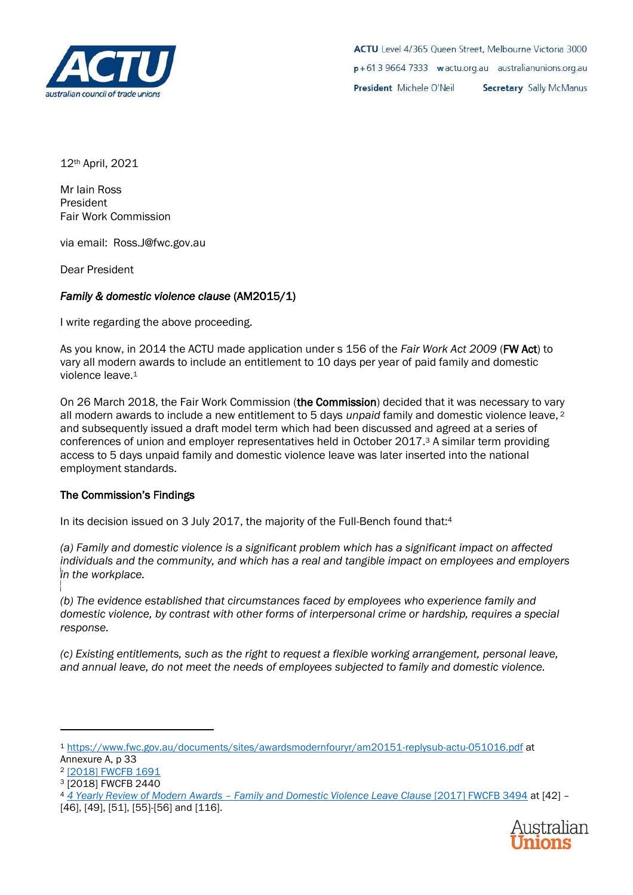

12th April, 2021

Mr Iain Ross President Fair Work Commission

via email: Ross.J@fwc.gov.au

Dear President

## *Family & domestic violence clause* (AM2015/1)

I write regarding the above proceeding.

As you know, in 2014 the ACTU made application under s 156 of the *Fair Work Act 2009* (FW Act) to vary all modern awards to include an entitlement to 10 days per year of paid family and domestic violence leave.<sup>1</sup>

On 26 March 2018, the Fair Work Commission (the Commission) decided that it was necessary to vary all modern awards to include a new entitlement to 5 days *unpaid* family and domestic violence leave, <sup>2</sup> and subsequently issued a draft model term which had been discussed and agreed at a series of conferences of union and employer representatives held in October 2017.<sup>3</sup> A similar term providing access to 5 days unpaid family and domestic violence leave was later inserted into the national employment standards.

## The Commission's Findings

In its decision issued on 3 July 2017, the majority of the Full-Bench found that:<sup>4</sup>

*(a) Family and domestic violence is a significant problem which has a significant impact on affected individuals and the community, and which has a real and tangible impact on employees and employers in the workplace.* 

*(b) The evidence established that circumstances faced by employees who experience family and domestic violence, by contrast with other forms of interpersonal crime or hardship, requires a special response.*

*(c) Existing entitlements, such as the right to request a flexible working arrangement, personal leave, and annual leave, do not meet the needs of employees subjected to family and domestic violence.*

<sup>4</sup> *4 Yearly Review of Modern Awards – [Family and Domestic Violence Leave Clause](https://www.fwc.gov.au/documents/decisionssigned/html/2017fwcfb3494.htm)* [2017] FWCFB 3494 at [42] – [46], [49], [51], [55]-[56] and [116].



<sup>1</sup> <https://www.fwc.gov.au/documents/sites/awardsmodernfouryr/am20151-replysub-actu-051016.pdf> at Annexure A, p 33

<sup>2</sup> [\[2018\] FWCFB 1691](https://www.fwc.gov.au/decisionssigned/html/2018fwcfb1691.htm)

<sup>3</sup> [2018] FWCFB 2440